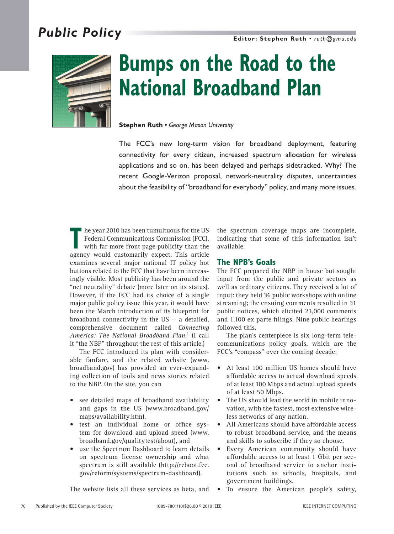

# **Bumps on the Road to the National Broadband Plan**

**Stephen Ruth •** *George Mason University*

The FCC's new long-term vision for broadband deployment, featuring connectivity for every citizen, increased spectrum allocation for wireless applications and so on, has been delayed and perhaps sidetracked. Why? The recent Google-Verizon proposal, network-neutrality disputes, uncertainties about the feasibility of "broadband for everybody" policy, and many more issues.

**The year 2010 has been tumultuous for the US**<br>
Federal Communications Commission (FCC),<br>
with far more front page publicity than the Federal Communications Commission (FCC), agency would customarily expect. This article examines several major national IT policy hot buttons related to the FCC that have been increasingly visible. Most publicity has been around the "net neutrality" debate (more later on its status). However, if the FCC had its choice of a single major public policy issue this year, it would have been the March introduction of its blueprint for broadband connectivity in the US — a detailed, comprehensive document called *Connecting America: The National Broadband Plan*. 1 (I call it "the NBP" throughout the rest of this article.)

The FCC introduced its plan with considerable fanfare, and the related website (www. broadband.gov) has provided an ever-expanding collection of tools and news stories related to the NBP. On the site, you can

- see detailed maps of broadband availability and gaps in the US (www.broadband.gov/ maps/availability.htm),
- test an individual home or office system for download and upload speed (www. broadband.gov/qualitytest/about), and
- use the Spectrum Dashboard to learn details on spectrum license ownership and what spectrum is still available (http://reboot.fcc. gov/reform/systems/spectrum-dashboard).

the spectrum coverage maps are incomplete, indicating that some of this information isn't available.

#### **The NPB's Goals**

The FCC prepared the NBP in house but sought input from the public and private sectors as well as ordinary citizens. They received a lot of input: they held 36 public workshops with online streaming; the ensuing comments resulted in 31 public notices, which elicited 23,000 comments and 1,100 ex parte filings. Nine public hearings followed this.

The plan's centerpiece is six long-term telecommunications policy goals, which are the FCC's "compass" over the coming decade:

- At least 100 million US homes should have affordable access to actual download speeds of at least 100 Mbps and actual upload speeds of at least 50 Mbps.
- The US should lead the world in mobile innovation, with the fastest, most extensive wireless networks of any nation.
- All Americans should have affordable access to robust broadband service, and the means and skills to subscribe if they so choose.
- Every American community should have affordable access to at least 1 Gbit per second of broadband service to anchor institutions such as schools, hospitals, and government buildings.
- The website lists all these services as beta, and
- To ensure the American people's safety,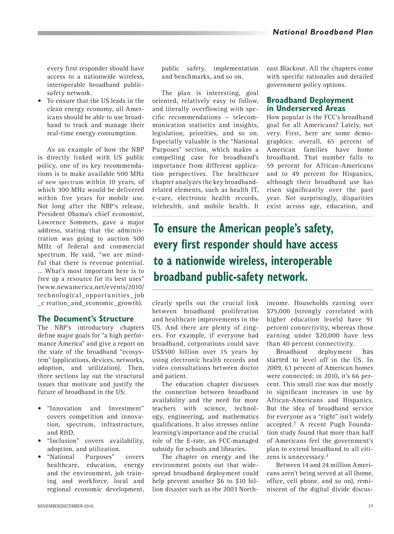every first responder should have access to a nationwide wireless, interoperable broadband publicsafety network.

• To ensure that the US leads in the clean energy economy, all Americans should be able to use broadband to track and manage their real-time energy consumption.

As an example of how the NBP is directly linked with US public policy, one of its key recommendations is to make available 500 MHz of new spectrum within 10 years, of which 300 MHz would be delivered within five years for mobile use. Not long after the NBP's release, President Obama's chief economist, Lawrence Sommers, gave a major address, stating that the administration was going to auction 500 MHz of federal and commercial spectrum. He said, "we are mindful that there is revenue potential. … What's most important here is to free up a resource for its best uses" (www.newamerica.net/events/2010/ technological\_opportunities\_ job \_c reation\_and\_economic\_growth).

### **The Document's Structure**

The NBP's introductory chapters define major goals for "a high performance America" and give a report on the state of the broadband "ecosystem" (applications, devices, networks, adoption, and utilization). Then, three sections lay out the structural issues that motivate and justify the future of broadband in the US:

- "Innovation and Investment" covers competition and innovation, spectrum, infrastructure, and R&D.
- "Inclusion" covers availability, adoption, and utilization.
- "National Purposes" covers healthcare, education, energy and the environment, job training and workforce, local and regional economic development,

public safety, implementation and benchmarks, and so on.

The plan is interesting, goal oriented, relatively easy to follow, and literally overflowing with specific recommendations — telecommunication statistics and insights, legislation, priorities, and so on. Especially valuable is the "National Purposes" section, which makes a compelling case for broadband's importance from different application perspectives. The healthcare chapter analyzes the key broadbandrelated elements, such as health IT, e-care, electronic health records, telehealth, and mobile health. It east Blackout. All the chapters come with specific rationales and detailed government policy options.

#### **Broadband Deployment in Underserved Areas**

How popular is the FCC's broadband goal for all Americans? Lately, not very. First, here are some demographics: overall, 65 percent of American families have home broadband. That number falls to 59 percent for African-Americans and to 49 percent for Hispanics, although their broadband use has risen significantly over the past year. Not surprisingly, disparities exist across age, education, and

**To ensure the American people's safety, every first responder should have access to a nationwide wireless, interoperable broadband public-safety network.**

clearly spells out the crucial link between broadband proliferation and healthcare improvements in the US. And there are plenty of zingers. For example, if everyone had broadband, corporations could save US\$500 billion over 15 years by using electronic health records and video consultations between doctor and patient.

The education chapter discusses the connection between broadband availability and the need for more teachers with science, technology, engineering, and mathematics qualifications. It also stresses online learning's importance and the crucial role of the E-rate, an FCC-managed subsidy for schools and libraries.

The chapter on energy and the environment points out that widespread broadband deployment could help prevent another \$6 to \$10 billion disaster such as the 2003 Northincome. Households earning over \$75,000 (strongly correlated with higher education levels) have 91 percent connectivity, whereas those earning under \$20,000 have less than 40 percent connectivity.

Broadband deployment has started to level off in the US. In 2009, 63 percent of American homes were connected; in 2010, it's 66 percent. This small rise was due mostly to significant increases in use by African-Americans and Hispanics. But the idea of broadband service for everyone as a "right" isn't widely accepted.2 A recent Pugh Foundation study found that more than half of Americans feel the government's plan to extend broadband to all citizens is unnecessary.<sup>3</sup>

Between 14 and 24 million Americans aren't being served at all (home, office, cell phone, and so on), reminiscent of the digital divide discus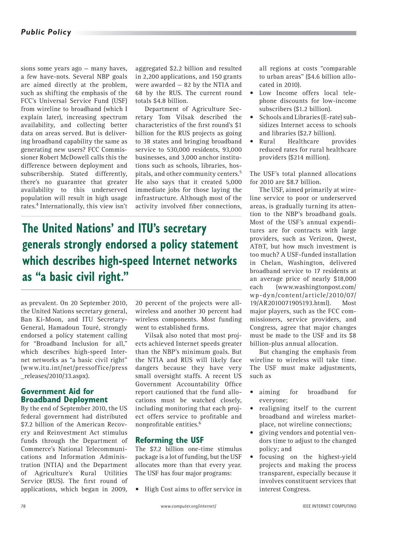sions some years ago — many haves, a few have-nots. Several NBP goals are aimed directly at the problem, such as shifting the emphasis of the FCC's Universal Service Fund (USF) from wireline to broadband (which I explain later), increasing spectrum availability, and collecting better data on areas served. But is delivering broadband capability the same as generating new users? FCC Commissioner Robert McDowell calls this the difference between deployment and subscribership. Stated differently, there's no guarantee that greater availability to this underserved population will result in high usage rates.4 Internationally, this view isn't

aggregated \$2.2 billion and resulted in 2,200 applications, and 150 grants were awarded — 82 by the NTIA and 68 by the RUS. The current round totals \$4.8 billion.

Department of Agriculture Secretary Tom Vilsak described the characteristics of the first round's \$1 billion for the RUS projects as going to 38 states and bringing broadband service to 530,000 residents, 93,000 businesses, and 3,000 anchor institutions such as schools, libraries, hospitals, and other community centers.<sup>5</sup> He also says that it created 5,000 immediate jobs for those laying the infrastructure. Although most of the activity involved fiber connections,

## **The United Nations' and ITU's secretary generals strongly endorsed a policy statement which describes high-speed Internet networks as "a basic civil right."**

as prevalent. On 20 September 2010, the United Nations secretary general, Ban Ki-Moon, and ITU Secretary-General, Hamadoun Touré, strongly endorsed a policy statement calling for "Broadband Inclusion for all," which describes high-speed Internet networks as "a basic civil right" (www.itu.int/net/pressoffice/press \_releases/2010/33.aspx).

#### **Government Aid for Broadband Deployment**

By the end of September 2010, the US federal government had distributed \$7.2 billion of the American Recovery and Reinvestment Act stimulus funds through the Department of Commerce's National Telecommunications and Information Administration (NTIA) and the Department of Agriculture's Rural Utilities Service (RUS). The first round of applications, which began in 2009,

20 percent of the projects were allwireless and another 30 percent had wireless components. Most funding went to established firms.

Vilsak also noted that most projects achieved Internet speeds greater than the NBP's minimum goals. But the NTIA and RUS will likely face dangers because they have very small oversight staffs. A recent US Government Accountability Office report cautioned that the fund allocations must be watched closely, including monitoring that each project offers service to profitable and nonprofitable entities.6

#### **Reforming the USF**

The \$7.2 billion one-time stimulus package is a lot of funding, but the USF allocates more than that every year. The USF has four major programs:

• High Cost aims to offer service in

all regions at costs "comparable to urban areas" (\$4.6 billion allocated in 2010).

- Low Income offers local telephone discounts for low-income subscribers (\$1.2 billion).
- Schools and Libraries (E-rate) subsidizes Internet access to schools and libraries (\$2.7 billion).
- Rural Healthcare provides reduced rates for rural healthcare providers (\$214 million).

The USF's total planned allocations for 2010 are \$8.7 billion.

The USF, aimed primarily at wireline service to poor or underserved areas, is gradually turning its attention to the NBP's broadband goals. Most of the USF's annual expenditures are for contracts with large providers, such as Verizon, Qwest, AT&T, but how much investment is too much? A USF-funded installation in Chelan, Washington, delivered broadband service to 17 residents at an average price of nearly \$18,000 each (www.washingtonpost.com/ wp-dyn/content/article/2010/07/ 19/AR2010071905193.html). Most major players, such as the FCC commissioners, service providers, and Congress, agree that major changes must be made to the USF and its \$8 billion-plus annual allocation.

But changing the emphasis from wireline to wireless will take time. The USF must make adjustments, such as

- aiming for broadband for everyone;
- realigning itself to the current broadband and wireless marketplace, not wireline connections;
- giving vendors and potential vendors time to adjust to the changed policy; and
- focusing on the highest-yield projects and making the process transparent, especially because it involves constituent services that interest Congress.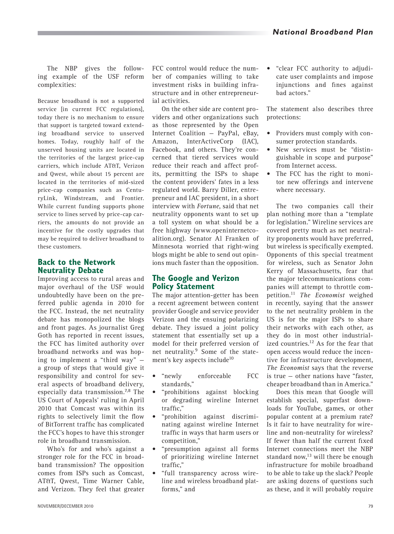The NBP gives the following example of the USF reform complexities:

Because broadband is not a supported service [in current FCC regulations], today there is no mechanism to ensure that support is targeted toward extending broadband service to unserved homes. Today, roughly half of the unserved housing units are located in the territories of the largest price-cap carriers, which include AT&T, Verizon and Qwest, while about 15 percent are located in the territories of mid-sized price-cap companies such as CenturyLink, Windstream, and Frontier. While current funding supports phone service to lines served by price-cap carriers, the amounts do not provide an incentive for the costly upgrades that may be required to deliver broadband to these customers.

#### **Back to the Network Neutrality Debate**

Improving access to rural areas and major overhaul of the USF would undoubtedly have been on the preferred public agenda in 2010 for the FCC. Instead, the net neutrality debate has monopolized the blogs and front pages. As journalist Greg Goth has reported in recent issues, the FCC has limited authority over broadband networks and was hoping to implement a "third way" a group of steps that would give it responsibility and control for several aspects of broadband delivery, especially data transmission.<sup>7,8</sup> The US Court of Appeals' ruling in April 2010 that Comcast was within its rights to selectively limit the flow of BitTorrent traffic has complicated the FCC's hopes to have this stronger role in broadband transmission.

Who's for and who's against a stronger role for the FCC in broadband transmission? The opposition comes from ISPs such as Comcast, AT&T, Qwest, Time Warner Cable, and Verizon. They feel that greater

FCC control would reduce the number of companies willing to take investment risks in building infrastructure and in other entrepreneurial activities.

On the other side are content providers and other organizations such as those represented by the Open Internet Coalition — PayPal, eBay, Amazon, InterActiveCorp (IAC), Facebook, and others. They're concerned that tiered services would reduce their reach and affect profits, permitting the ISPs to shape the content providers' fates in a less regulated world. Barry Diller, entrepreneur and IAC president, in a short interview with *Fortune*, said that net neutrality opponents want to set up a toll system on what should be a free highway (www.openinternetcoalition.org). Senator Al Franken of Minnesota worried that right-wing blogs might be able to send out opinions much faster than the opposition.

#### **The Google and Verizon Policy Statement**

The major attention-getter has been a recent agreement between content provider Google and service provider Verizon and the ensuing polarizing debate. They issued a joint policy statement that essentially set up a model for their preferred version of net neutrality.9 Some of the statement's key aspects include<sup>10</sup>

- "newly enforceable FCC standards,"
- "prohibitions against blocking or degrading wireline Internet traffic,"
- "prohibition against discriminating against wireline Internet traffic in ways that harm users or competition,"
- "presumption against all forms of prioritizing wireline Internet traffic,"
- "full transparency across wireline and wireless broadband platforms," and

• "clear FCC authority to adjudicate user complaints and impose injunctions and fines against bad actors."

The statement also describes three protections:

- Providers must comply with consumer protection standards.
- New services must be "distinguishable in scope and purpose" from Internet access.
- The FCC has the right to monitor new offerings and intervene where necessary.

The two companies call their plan nothing more than a "template for legislation." Wireline services are covered pretty much as net neutrality proponents would have preferred, but wireless is specifically exempted. Opponents of this special treatment for wireless, such as Senator John Kerry of Massachusetts, fear that the major telecommunications companies will attempt to throttle competition.11 *The Economist* weighed in recently, saying that the answer to the net neutrality problem in the US is for the major ISPs to share their networks with each other, as they do in most other industrialized countries.<sup>12</sup> As for the fear that open access would reduce the incentive for infrastructure development, *The Economist* says that the reverse is true — other nations have "faster, cheaper broadband than in America."

Does this mean that Google will establish special, superfast downloads for YouTube, games, or other popular content at a premium rate? Is it fair to have neutrality for wireline and non-neutrality for wireless? If fewer than half the current fixed Internet connections meet the NBP standard now, $13$  will there be enough infrastructure for mobile broadband to be able to take up the slack? People are asking dozens of questions such as these, and it will probably require